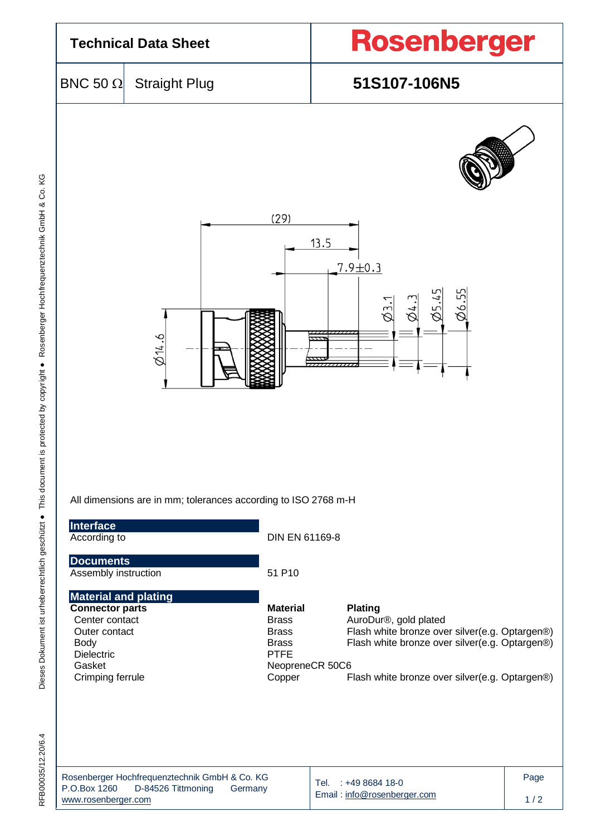